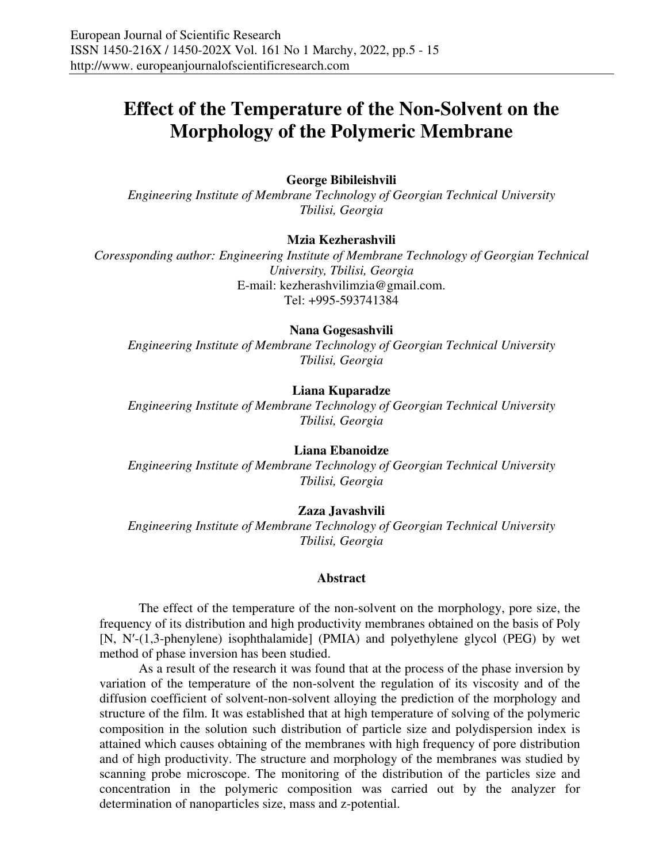# **Effect of the Temperature of the Non-Solvent on the Morphology of the Polymeric Membrane**

## **George Bibileishvili**

*Engineering Institute of Membrane Technology of Georgian Technical University Tbilisi, Georgia* 

#### **Mzia Kezherashvili**

*Coressponding author: Engineering Institute of Membrane Technology of Georgian Technical University, Tbilisi, Georgia*  E-mail: kezherashvilimzia@gmail.com. Tel: +995-593741384

#### **Nana Gogesashvili**

*Engineering Institute of Membrane Technology of Georgian Technical University Tbilisi, Georgia* 

#### **Liana Kuparadze**

*Engineering Institute of Membrane Technology of Georgian Technical University Tbilisi, Georgia* 

#### **Liana Ebanoidze**

*Engineering Institute of Membrane Technology of Georgian Technical University Tbilisi, Georgia* 

#### **Zaza Javashvili**

*Engineering Institute of Membrane Technology of Georgian Technical University Tbilisi, Georgia*

#### **Abstract**

The effect of the temperature of the non-solvent on the morphology, pore size, the frequency of its distribution and high productivity membranes obtained on the basis of Poly [N, N′-(1,3-phenylene) isophthalamide] (PMIA) and polyethylene glycol (PEG) by wet method of phase inversion has been studied.

As a result of the research it was found that at the process of the phase inversion by variation of the temperature of the non-solvent the regulation of its viscosity and of the diffusion coefficient of solvent-non-solvent alloying the prediction of the morphology and structure of the film. It was established that at high temperature of solving of the polymeric composition in the solution such distribution of particle size and polydispersion index is attained which causes obtaining of the membranes with high frequency of pore distribution and of high productivity. The structure and morphology of the membranes was studied by scanning probe microscope. The monitoring of the distribution of the particles size and concentration in the polymeric composition was carried out by the analyzer for determination of nanoparticles size, mass and z-potential.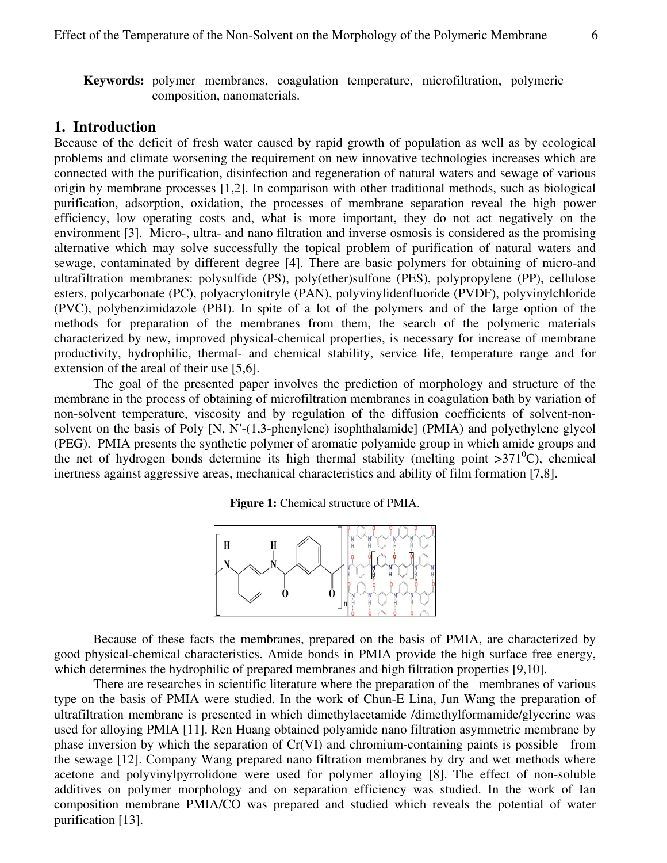**Keywords:** polymer membranes, coagulation temperature, microfiltration, polymeric composition, nanomaterials.

### **1. Introduction**

Because of the deficit of fresh water caused by rapid growth of population as well as by ecological problems and climate worsening the requirement on new innovative technologies increases which are connected with the purification, disinfection and regeneration of natural waters and sewage of various origin by membrane processes [1,2]. In comparison with other traditional methods, such as biological purification, adsorption, oxidation, the processes of membrane separation reveal the high power efficiency, low operating costs and, what is more important, they do not act negatively on the environment [3]. Micro-, ultra- and nano filtration and inverse osmosis is considered as the promising alternative which may solve successfully the topical problem of purification of natural waters and sewage, contaminated by different degree [4]. There are basic polymers for obtaining of micro-and ultrafiltration membranes: polysulfide (PS), poly(ether)sulfone (PES), polypropylene (PP), cellulose esters, polycarbonate (PC), polyacrylonitryle (PAN), polyvinylidenfluoride (PVDF), polyvinylchloride (PVC), polybenzimidazole (PBI). In spite of a lot of the polymers and of the large option of the methods for preparation of the membranes from them, the search of the polymeric materials characterized by new, improved physical-chemical properties, is necessary for increase of membrane productivity, hydrophilic, thermal- and chemical stability, service life, temperature range and for extension of the areal of their use [5,6].

The goal of the presented paper involves the prediction of morphology and structure of the membrane in the process of obtaining of microfiltration membranes in coagulation bath by variation of non-solvent temperature, viscosity and by regulation of the diffusion coefficients of solvent-nonsolvent on the basis of Poly [N, N′-(1,3-phenylene) isophthalamide] (PMIA) and polyethylene glycol (PEG). PMIA presents the synthetic polymer of aromatic polyamide group in which amide groups and the net of hydrogen bonds determine its high thermal stability (melting point  $>371^{\circ}$ C), chemical inertness against aggressive areas, mechanical characteristics and ability of film formation [7,8].

**Figure 1:** Chemical structure of PMIA.



Because of these facts the membranes, prepared on the basis of PMIA, are characterized by good physical-chemical characteristics. Amide bonds in PMIA provide the high surface free energy, which determines the hydrophilic of prepared membranes and high filtration properties [9,10].

There are researches in scientific literature where the preparation of the membranes of various type on the basis of PMIA were studied. In the work of Chun-E Lina, Jun Wang the preparation of ultrafiltration membrane is presented in which dimethylacetamide /dimethylformamide/glycerine was used for alloying PMIA [11]. Ren Huang obtained polyamide nano filtration asymmetric membrane by phase inversion by which the separation of Cr(VI) and chromium-containing paints is possible from the sewage [12]. Company Wang prepared nano filtration membranes by dry and wet methods where acetone and polyvinylpyrrolidone were used for polymer alloying [8]. The effect of non-soluble additives on polymer morphology and on separation efficiency was studied. In the work of Ian composition membrane PMIA/CO was prepared and studied which reveals the potential of water purification [13].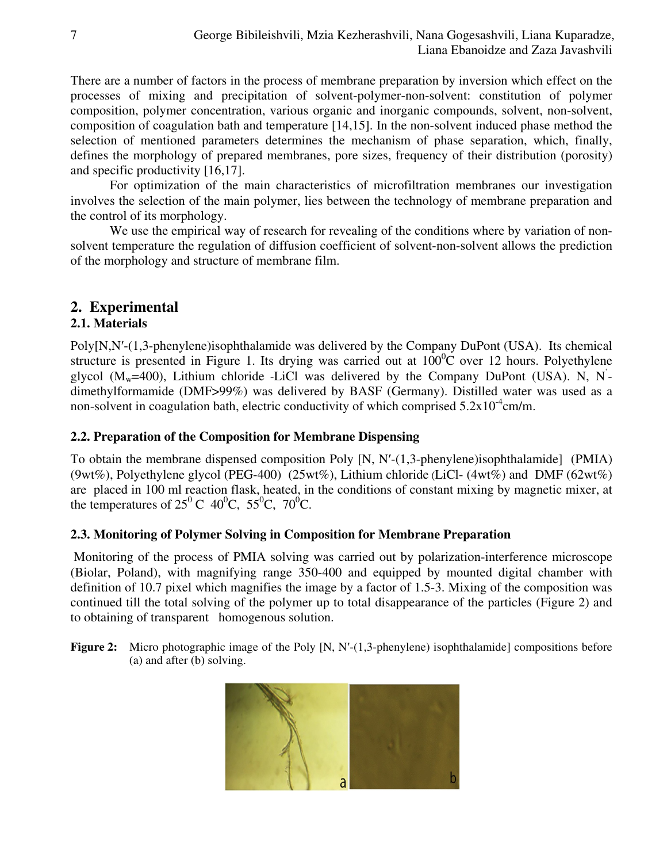There are a number of factors in the process of membrane preparation by inversion which effect on the processes of mixing and precipitation of solvent-polymer-non-solvent: constitution of polymer composition, polymer concentration, various organic and inorganic compounds, solvent, non-solvent, composition of coagulation bath and temperature [14,15]. In the non-solvent induced phase method the selection of mentioned parameters determines the mechanism of phase separation, which, finally, defines the morphology of prepared membranes, pore sizes, frequency of their distribution (porosity) and specific productivity [16,17].

For optimization of the main characteristics of microfiltration membranes our investigation involves the selection of the main polymer, lies between the technology of membrane preparation and the control of its morphology.

We use the empirical way of research for revealing of the conditions where by variation of nonsolvent temperature the regulation of diffusion coefficient of solvent-non-solvent allows the prediction of the morphology and structure of membrane film.

# **2. Experimental**

# **2.1. Materials**

Poly[N,N′-(1,3-phenylene)isophthalamide was delivered by the Company DuPont (USA). Its chemical structure is presented in Figure 1. Its drying was carried out at  $100^{\circ}$ C over 12 hours. Polyethylene glycol  $(M_w=400)$ , Lithium chloride -LiCl was delivered by the Company DuPont (USA). N, N<sup>-</sup> dimethylformamide (DMF>99%) was delivered by BASF (Germany). Distilled water was used as a non-solvent in coagulation bath, electric conductivity of which comprised  $5.2 \times 10^{-4}$ cm/m.

# **2.2. Preparation of the Composition for Membrane Dispensing**

To obtain the membrane dispensed composition Poly [N, N′-(1,3-phenylene)isophthalamide] (PMIA) (9wt%), Polyethylene glycol (PEG-400) (25wt%), Lithium chloride (LiCl- (4wt%) and DMF (62wt%) are placed in 100 ml reaction flask, heated, in the conditions of constant mixing by magnetic mixer, at the temperatures of  $25^{\circ}$  C  $40^{\circ}$ C,  $55^{\circ}$ C,  $70^{\circ}$ C.

# **2.3. Monitoring of Polymer Solving in Composition for Membrane Preparation**

 Monitoring of the process of PMIA solving was carried out by polarization-interference microscope (Biolar, Poland), with magnifying range 350-400 and equipped by mounted digital chamber with definition of 10.7 pixel which magnifies the image by a factor of 1.5-3. Mixing of the composition was continued till the total solving of the polymer up to total disappearance of the particles (Figure 2) and to obtaining of transparent homogenous solution.

Figure 2: Micro photographic image of the Poly [N, N'-(1,3-phenylene) isophthalamide] compositions before (a) and after (b) solving.

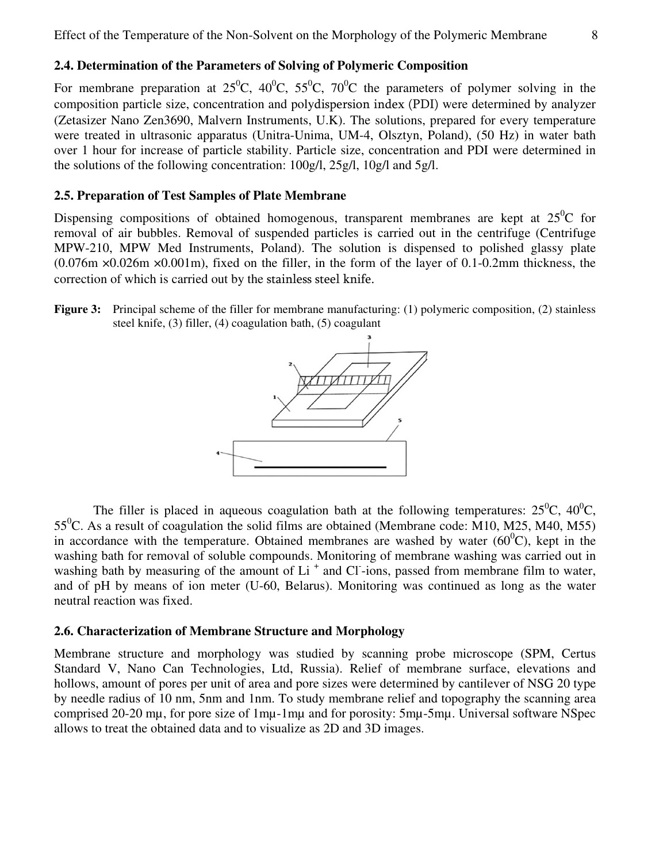# **2.4. Determination of the Parameters of Solving of Polymeric Composition**

For membrane preparation at  $25^{\circ}$ C,  $40^{\circ}$ C,  $55^{\circ}$ C,  $70^{\circ}$ C the parameters of polymer solving in the composition particle size, concentration and polydispersion index (PDI) were determined by analyzer (Zetasizer Nano Zen3690, Malvern Instruments, U.K). The solutions, prepared for every temperature were treated in ultrasonic apparatus (Unitra-Unima, UM-4, Olsztyn, Poland), (50 Hz) in water bath over 1 hour for increase of particle stability. Particle size, concentration and PDI were determined in the solutions of the following concentration: 100g/l, 25g/l, 10g/l and 5g/l.

#### **2.5. Preparation of Test Samples of Plate Membrane**

Dispensing compositions of obtained homogenous, transparent membranes are kept at  $25^{\circ}$ C for removal of air bubbles. Removal of suspended particles is carried out in the centrifuge (Centrifuge MPW-210, MPW Med Instruments, Poland). The solution is dispensed to polished glassy plate (0.076m ×0.026m ×0.001m), fixed on the filler, in the form of the layer of 0.1-0.2mm thickness, the correction of which is carried out by the stainless steel knife.

**Figure 3:** Principal scheme of the filler for membrane manufacturing: (1) polymeric composition, (2) stainless steel knife, (3) filler, (4) coagulation bath, (5) coagulant



The filler is placed in aqueous coagulation bath at the following temperatures:  $25^{\circ}$ C,  $40^{\circ}$ C,  $55^{\circ}$ C. As a result of coagulation the solid films are obtained (Membrane code: M10, M25, M40, M55) in accordance with the temperature. Obtained membranes are washed by water  $(60^{\circ}$ C), kept in the washing bath for removal of soluble compounds. Monitoring of membrane washing was carried out in washing bath by measuring of the amount of Li<sup>+</sup> and Cl<sup>-</sup>ions, passed from membrane film to water, and of pH by means of ion meter (U-60, Belarus). Monitoring was continued as long as the water neutral reaction was fixed.

#### **2.6. Characterization of Membrane Structure and Morphology**

Membrane structure and morphology was studied by scanning probe microscope (SPM, Certus Standard V, Nano Can Technologies, Ltd, Russia). Relief of membrane surface, elevations and hollows, amount of pores per unit of area and pore sizes were determined by cantilever of NSG 20 type by needle radius of 10 nm, 5nm and 1nm. To study membrane relief and topography the scanning area comprised 20-20 mµ, for pore size of 1mµ-1mµ and for porosity: 5mµ-5mµ. Universal software NSpec allows to treat the obtained data and to visualize as 2D and 3D images.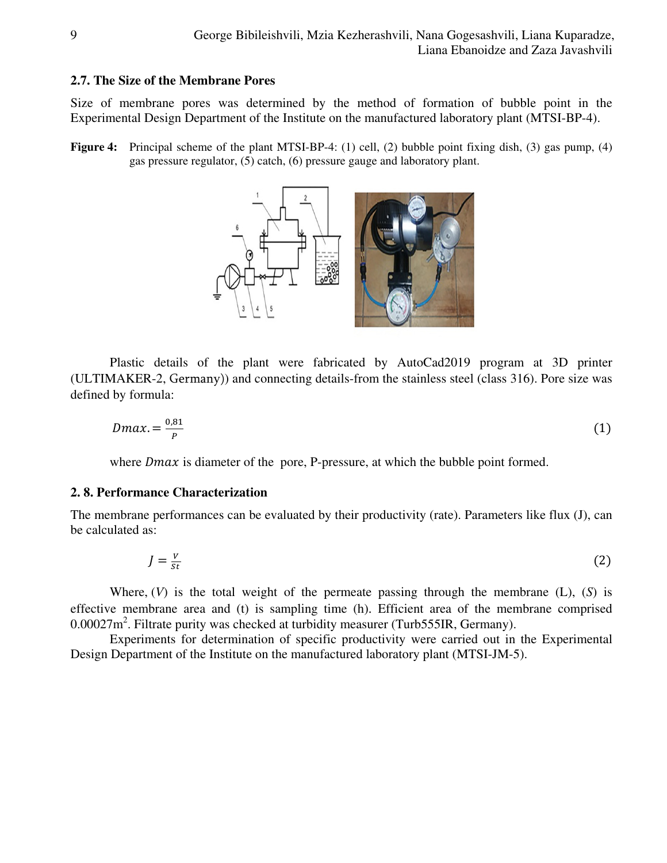#### **2.7. The Size of the Membrane Pores**

Size of membrane pores was determined by the method of formation of bubble point in the Experimental Design Department of the Institute on the manufactured laboratory plant (MTSI-BP-4).

**Figure 4:** Principal scheme of the plant MTSI-BP-4: (1) cell, (2) bubble point fixing dish, (3) gas pump, (4) gas pressure regulator, (5) catch, (6) pressure gauge and laboratory plant.



Plastic details of the plant were fabricated by AutoCad2019 program at 3D printer (ULTIMAKER-2, Germany)) and connecting details-from the stainless steel (class 316). Pore size was defined by formula:

$$
Dmax = \frac{0.81}{P} \tag{1}
$$

where  $Dmax$  is diameter of the pore, P-pressure, at which the bubble point formed.

### **2. 8. Performance Characterization**

The membrane performances can be evaluated by their productivity (rate). Parameters like flux (J), can be calculated as:

$$
J = \frac{v}{st} \tag{2}
$$

Where, (*V*) is the total weight of the permeate passing through the membrane (L), (*S*) is effective membrane area and (t) is sampling time (h). Efficient area of the membrane comprised  $0.00027$ m<sup>2</sup>. Filtrate purity was checked at turbidity measurer (Turb555IR, Germany).

Experiments for determination of specific productivity were carried out in the Experimental Design Department of the Institute on the manufactured laboratory plant (MTSI-JM-5).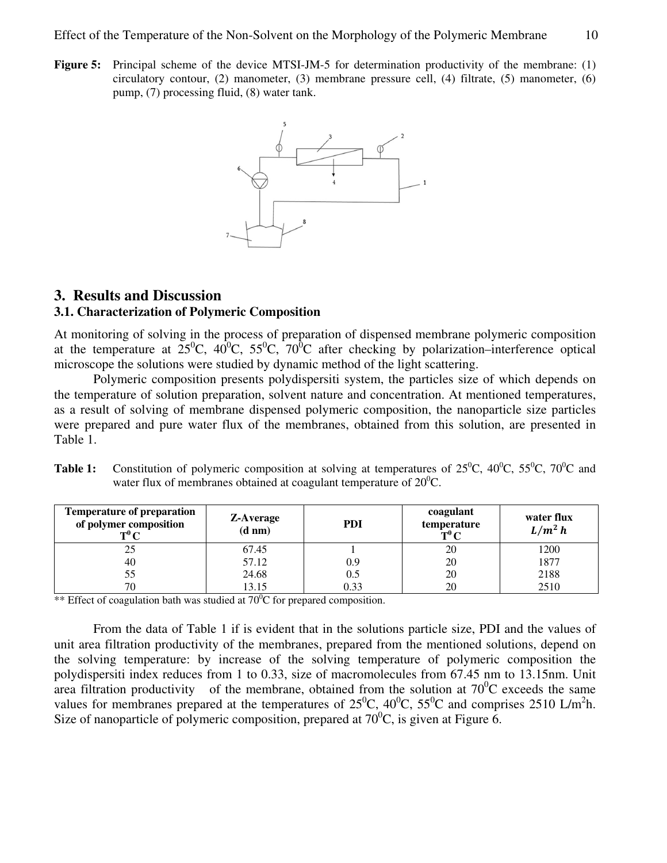**Figure 5:** Principal scheme of the device MTSI-JM-5 for determination productivity of the membrane: (1) circulatory contour, (2) manometer, (3) membrane pressure cell, (4) filtrate, (5) manometer, (6) pump, (7) processing fluid, (8) water tank.



# **3. Results and Discussion**

# **3.1. Characterization of Polymeric Composition**

At monitoring of solving in the process of preparation of dispensed membrane polymeric composition at the temperature at  $25^{\circ}$ C,  $40^{\circ}$ C,  $55^{\circ}$ C,  $70^{\circ}$ C after checking by polarization–interference optical microscope the solutions were studied by dynamic method of the light scattering.

Polymeric composition presents polydispersiti system, the particles size of which depends on the temperature of solution preparation, solvent nature and concentration. At mentioned temperatures, as a result of solving of membrane dispensed polymeric composition, the nanoparticle size particles were prepared and pure water flux of the membranes, obtained from this solution, are presented in Table 1.

| <b>Temperature of preparation</b><br>of polymer composition<br>$T^0C$ | <b>Z-Average</b><br>$(d \text{ nm})$ | PDI  | coagulant<br>temperature<br>$T^0C$ | water flux<br>$L/m^2 h$ |
|-----------------------------------------------------------------------|--------------------------------------|------|------------------------------------|-------------------------|
| 25                                                                    | 67.45                                |      | 20                                 | 1200                    |
| 40                                                                    | 57.12                                | 0.9  | 20                                 | 1877                    |
| 55                                                                    | 24.68                                | 0.5  | 20                                 | 2188                    |
| 70                                                                    | 13.15                                | 0.33 | 20                                 | 2510                    |

| <b>Table 1:</b> Constitution of polymeric composition at solving at temperatures of $25^{\circ}$ C, $40^{\circ}$ C, $55^{\circ}$ C, $70^{\circ}$ C and |
|--------------------------------------------------------------------------------------------------------------------------------------------------------|
| water flux of membranes obtained at coagulant temperature of $20^{\circ}$ C.                                                                           |

\*\* Effect of coagulation bath was studied at  $70^{\circ}$ C for prepared composition.

From the data of Table 1 if is evident that in the solutions particle size, PDI and the values of unit area filtration productivity of the membranes, prepared from the mentioned solutions, depend on the solving temperature: by increase of the solving temperature of polymeric composition the polydispersiti index reduces from 1 to 0.33, size of macromolecules from 67.45 nm to 13.15nm. Unit area filtration productivity of the membrane, obtained from the solution at  $70^0C$  exceeds the same values for membranes prepared at the temperatures of  $25^{\circ}$ C,  $40^{\circ}$ C,  $55^{\circ}$ C and comprises 2510 L/m<sup>2</sup>h. Size of nanoparticle of polymeric composition, prepared at  $70^{\circ}$ C, is given at Figure 6.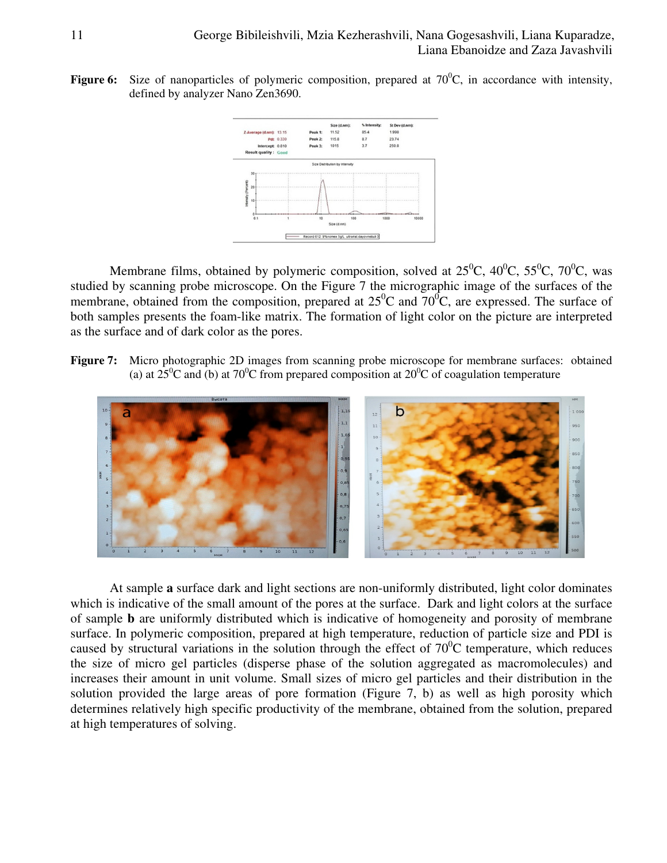**Figure 6:** Size of nanoparticles of polymeric composition, prepared at  $70^{\circ}$ C, in accordance with intensity, defined by analyzer Nano Zen3690.



Membrane films, obtained by polymeric composition, solved at  $25^{\circ}$ C,  $40^{\circ}$ C,  $55^{\circ}$ C,  $70^{\circ}$ C, was studied by scanning probe microscope. On the Figure 7 the micrographic image of the surfaces of the membrane, obtained from the composition, prepared at  $25^{\circ}$ C and  $70^{\circ}$ C, are expressed. The surface of both samples presents the foam-like matrix. The formation of light color on the picture are interpreted as the surface and of dark color as the pores.

**Figure 7:** Micro photographic 2D images from scanning probe microscope for membrane surfaces: obtained (a) at  $25^{\circ}$ C and (b) at  $70^{\circ}$ C from prepared composition at  $20^{\circ}$ C of coagulation temperature



At sample **a** surface dark and light sections are non-uniformly distributed, light color dominates which is indicative of the small amount of the pores at the surface. Dark and light colors at the surface of sample **b** are uniformly distributed which is indicative of homogeneity and porosity of membrane surface. In polymeric composition, prepared at high temperature, reduction of particle size and PDI is caused by structural variations in the solution through the effect of  $70^0C$  temperature, which reduces the size of micro gel particles (disperse phase of the solution aggregated as macromolecules) and increases their amount in unit volume. Small sizes of micro gel particles and their distribution in the solution provided the large areas of pore formation (Figure 7, b) as well as high porosity which determines relatively high specific productivity of the membrane, obtained from the solution, prepared at high temperatures of solving.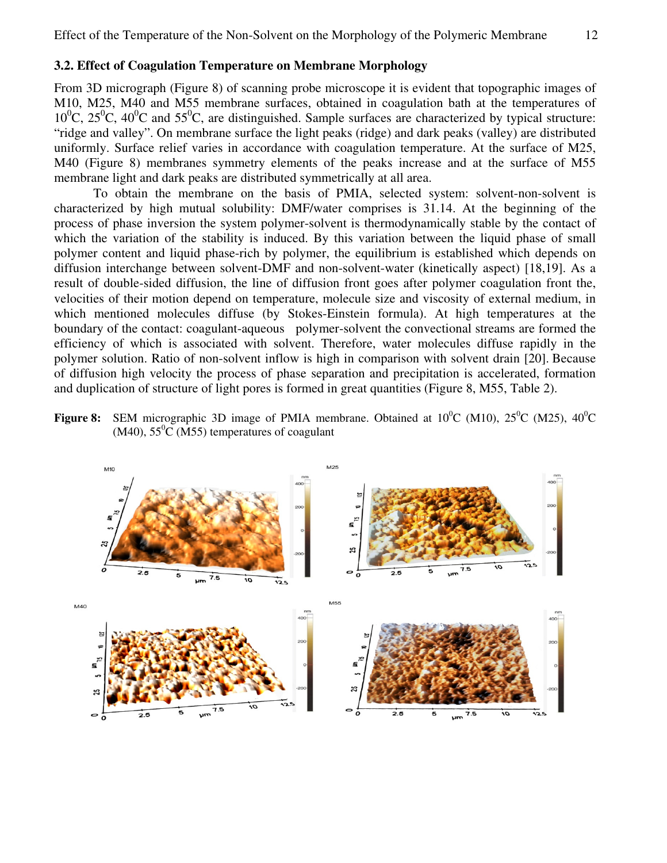#### **3.2. Effect of Coagulation Temperature on Membrane Morphology**

From 3D micrograph (Figure 8) of scanning probe microscope it is evident that topographic images of M10, M25, M40 and M55 membrane surfaces, obtained in coagulation bath at the temperatures of  $10^0$ C,  $25^0$ C,  $40^0$ C and  $55^0$ C, are distinguished. Sample surfaces are characterized by typical structure: "ridge and valley". On membrane surface the light peaks (ridge) and dark peaks (valley) are distributed uniformly. Surface relief varies in accordance with coagulation temperature. At the surface of M25, M40 (Figure 8) membranes symmetry elements of the peaks increase and at the surface of M55 membrane light and dark peaks are distributed symmetrically at all area.

To obtain the membrane on the basis of PMIA, selected system: solvent-non-solvent is characterized by high mutual solubility: DMF/water comprises is 31.14. At the beginning of the process of phase inversion the system polymer-solvent is thermodynamically stable by the contact of which the variation of the stability is induced. By this variation between the liquid phase of small polymer content and liquid phase-rich by polymer, the equilibrium is established which depends on diffusion interchange between solvent-DMF and non-solvent-water (kinetically aspect) [18,19]. As a result of double-sided diffusion, the line of diffusion front goes after polymer coagulation front the, velocities of their motion depend on temperature, molecule size and viscosity of external medium, in which mentioned molecules diffuse (by Stokes-Einstein formula). At high temperatures at the boundary of the contact: coagulant-aqueous polymer-solvent the convectional streams are formed the efficiency of which is associated with solvent. Therefore, water molecules diffuse rapidly in the polymer solution. Ratio of non-solvent inflow is high in comparison with solvent drain [20]. Because of diffusion high velocity the process of phase separation and precipitation is accelerated, formation and duplication of structure of light pores is formed in great quantities (Figure 8, M55, Table 2).

**Figure 8:** SEM micrographic 3D image of PMIA membrane. Obtained at  $10^{\circ}$ C (M10),  $25^{\circ}$ C (M25),  $40^{\circ}$ C  $(M40)$ , 55<sup>0</sup>C (M55) temperatures of coagulant

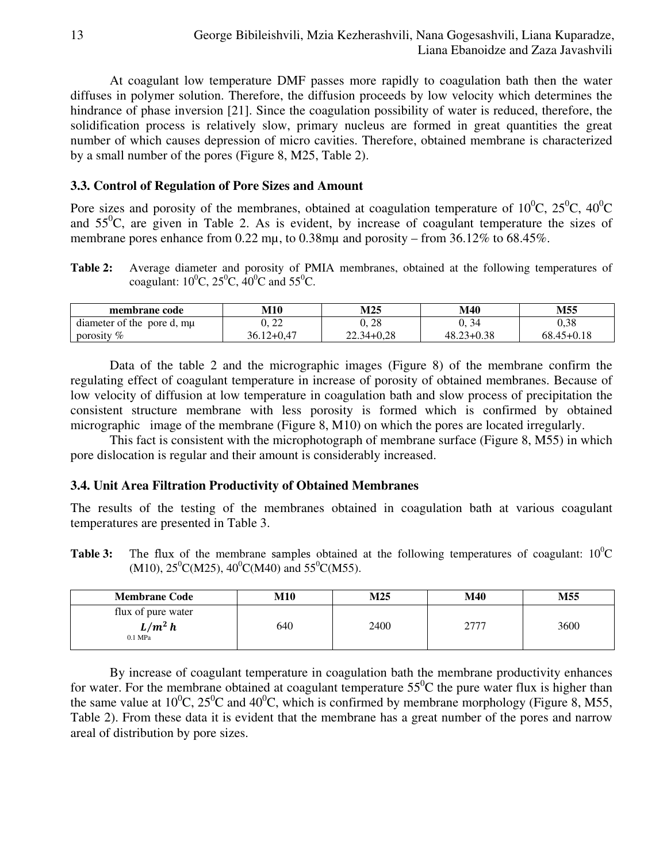At coagulant low temperature DMF passes more rapidly to coagulation bath then the water diffuses in polymer solution. Therefore, the diffusion proceeds by low velocity which determines the hindrance of phase inversion [21]. Since the coagulation possibility of water is reduced, therefore, the solidification process is relatively slow, primary nucleus are formed in great quantities the great number of which causes depression of micro cavities. Therefore, obtained membrane is characterized by a small number of the pores (Figure 8, M25, Table 2).

# **3.3. Control of Regulation of Pore Sizes and Amount**

Pore sizes and porosity of the membranes, obtained at coagulation temperature of  $10^{0}$ C,  $25^{0}$ C,  $40^{0}$ C and  $55^{\circ}$ C, are given in Table 2. As is evident, by increase of coagulant temperature the sizes of membrane pores enhance from 0.22 mµ, to 0.38mµ and porosity – from 36.12% to 68.45%.

**Table 2:** Average diameter and porosity of PMIA membranes, obtained at the following temperatures of coagulant:  $10^{0}C$ ,  $25^{0}C$ ,  $40^{0}C$  and  $55^{0}C$ .

| membrane code                 | <b>M10</b>     | M25            | <b>M40</b>     | M55            |
|-------------------------------|----------------|----------------|----------------|----------------|
| diameter of the<br>pore d, mu | ാറ<br>$-$ 44   | 0.28           | U. 34          | $_{0,38}$      |
| porosity $%$                  | $36.12 + 0.47$ | $22.34 + 0.28$ | $48.23 + 0.38$ | $68.45 + 0.18$ |

Data of the table 2 and the micrographic images (Figure 8) of the membrane confirm the regulating effect of coagulant temperature in increase of porosity of obtained membranes. Because of low velocity of diffusion at low temperature in coagulation bath and slow process of precipitation the consistent structure membrane with less porosity is formed which is confirmed by obtained micrographic image of the membrane (Figure 8, M10) on which the pores are located irregularly.

This fact is consistent with the microphotograph of membrane surface (Figure 8, M55) in which pore dislocation is regular and their amount is considerably increased.

# **3.4. Unit Area Filtration Productivity of Obtained Membranes**

The results of the testing of the membranes obtained in coagulation bath at various coagulant temperatures are presented in Table 3.

**Table 3:** The flux of the membrane samples obtained at the following temperatures of coagulant:  $10^{\circ}$ C  $(M10)$ ,  $25^0C(M25)$ ,  $40^0C(M40)$  and  $55^0C(M55)$ .

| <b>Membrane Code</b>                         | <b>M10</b> | M25  | M40       | M55  |
|----------------------------------------------|------------|------|-----------|------|
| flux of pure water<br>$L/m^2 h$<br>$0.1$ MPa | 640        | 2400 | フフフフ<br>∠ | 3600 |

By increase of coagulant temperature in coagulation bath the membrane productivity enhances for water. For the membrane obtained at coagulant temperature  $55^{\circ}$ C the pure water flux is higher than the same value at  $10^{0}$ C,  $25^{0}$ C and  $40^{0}$ C, which is confirmed by membrane morphology (Figure 8, M55, Table 2). From these data it is evident that the membrane has a great number of the pores and narrow areal of distribution by pore sizes.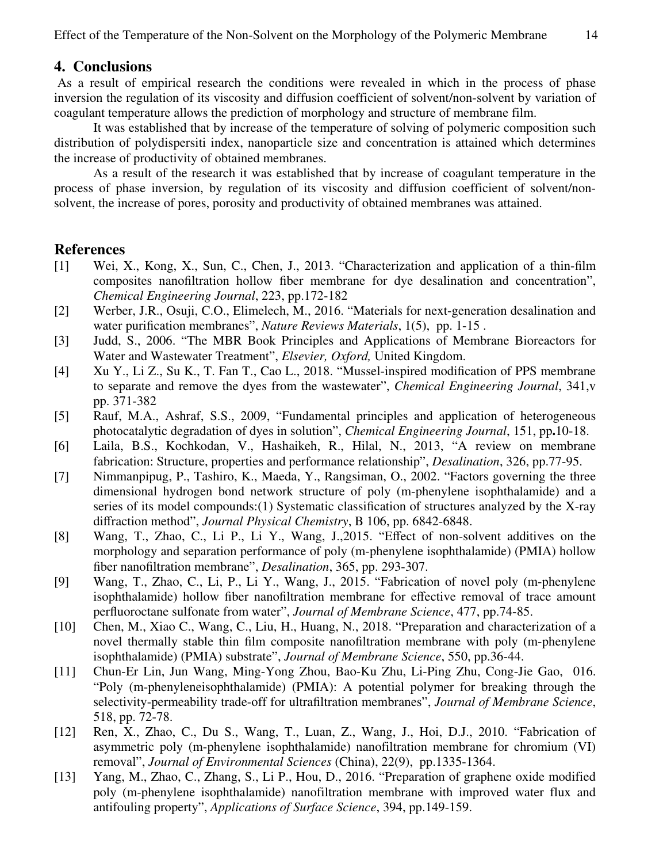# **4. Conclusions**

 As a result of empirical research the conditions were revealed in which in the process of phase inversion the regulation of its viscosity and diffusion coefficient of solvent/non-solvent by variation of coagulant temperature allows the prediction of morphology and structure of membrane film.

It was established that by increase of the temperature of solving of polymeric composition such distribution of polydispersiti index, nanoparticle size and concentration is attained which determines the increase of productivity of obtained membranes.

As a result of the research it was established that by increase of coagulant temperature in the process of phase inversion, by regulation of its viscosity and diffusion coefficient of solvent/nonsolvent, the increase of pores, porosity and productivity of obtained membranes was attained.

# **References**

- [1] Wei, X., Kong, X., Sun, C., Chen, J., 2013. "Characterization and application of a thin-film composites nanofiltration hollow fiber membrane for dye desalination and concentration", *Chemical Engineering Journal*, 223, pp.172-182
- [2] Werber, J.R., Osuji, C.O., Elimelech, M., 2016. "Materials for next-generation desalination and water purification membranes", *Nature Reviews Materials*, 1(5), pp. 1-15 .
- [3] Judd, S., 2006. "The MBR Book Principles and Applications of Membrane Bioreactors for Water and Wastewater Treatment", *Elsevier, Oxford,* United Kingdom.
- [4] Xu Y., Li Z., Su K., T. Fan T., Cao L., 2018. "Mussel-inspired modification of PPS membrane to separate and remove the dyes from the wastewater", *Chemical Engineering Journal*, 341,v pp. 371-382
- [5] Rauf, M.A., Ashraf, S.S., 2009, "Fundamental principles and application of heterogeneous photocatalytic degradation of dyes in solution", *Chemical Engineering Journal*, 151, pp**.**10-18.
- [6] Laila, B.S., Kochkodan, V., Hashaikeh, R., Hilal, N., 2013, "A review on membrane fabrication: Structure, properties and performance relationship", *Desalination*, 326, pp.77-95.
- [7] Nimmanpipug, P., Tashiro, K., Maeda, Y., Rangsiman, O., 2002. "Factors governing the three dimensional hydrogen bond network structure of poly (m-phenylene isophthalamide) and a series of its model compounds:(1) Systematic classification of structures analyzed by the X-ray diffraction method", *Journal Physical Chemistry*, B 106, pp. 6842-6848.
- [8] Wang, T., Zhao, C., Li P., Li Y., Wang, J.,2015. "Effect of non-solvent additives on the morphology and separation performance of poly (m-phenylene isophthalamide) (PMIA) hollow fiber nanofiltration membrane", *Desalination*, 365, pp. 293-307.
- [9] Wang, T., Zhao, C., Li, P., Li Y., Wang, J., 2015. "Fabrication of novel poly (m-phenylene isophthalamide) hollow fiber nanofiltration membrane for effective removal of trace amount perfluoroctane sulfonate from water", *Journal of Membrane Science*, 477, pp.74-85.
- [10] Chen, M., Xiao C., Wang, C., Liu, H., Huang, N., 2018. "Preparation and characterization of a novel thermally stable thin film composite nanofiltration membrane with poly (m-phenylene isophthalamide) (PMIA) substrate", *Journal of Membrane Science*, 550, pp.36-44.
- [11] Chun-Er Lin, Jun Wang, Ming-Yong Zhou, Bao-Ku Zhu, Li-Ping Zhu, Cong-Jie Gao, 016. "Poly (m-phenyleneisophthalamide) (PMIA): A potential polymer for breaking through the selectivity-permeability trade-off for ultrafiltration membranes", *Journal of Membrane Science*, 518, pp. 72-78.
- [12] Ren, X., Zhao, C., Du S., Wang, T., Luan, Z., Wang, J., Hoi, D.J., 2010. "Fabrication of asymmetric poly (m-phenylene isophthalamide) nanofiltration membrane for chromium (VI) removal", *Journal of Environmental Sciences* (China), 22(9), pp.1335-1364.
- [13] Yang, M., Zhao, C., Zhang, S., Li P., Hou, D., 2016. "Preparation of graphene oxide modified poly (m-phenylene isophthalamide) nanofiltration membrane with improved water flux and antifouling property", *Applications of Surface Science*, 394, pp.149-159.